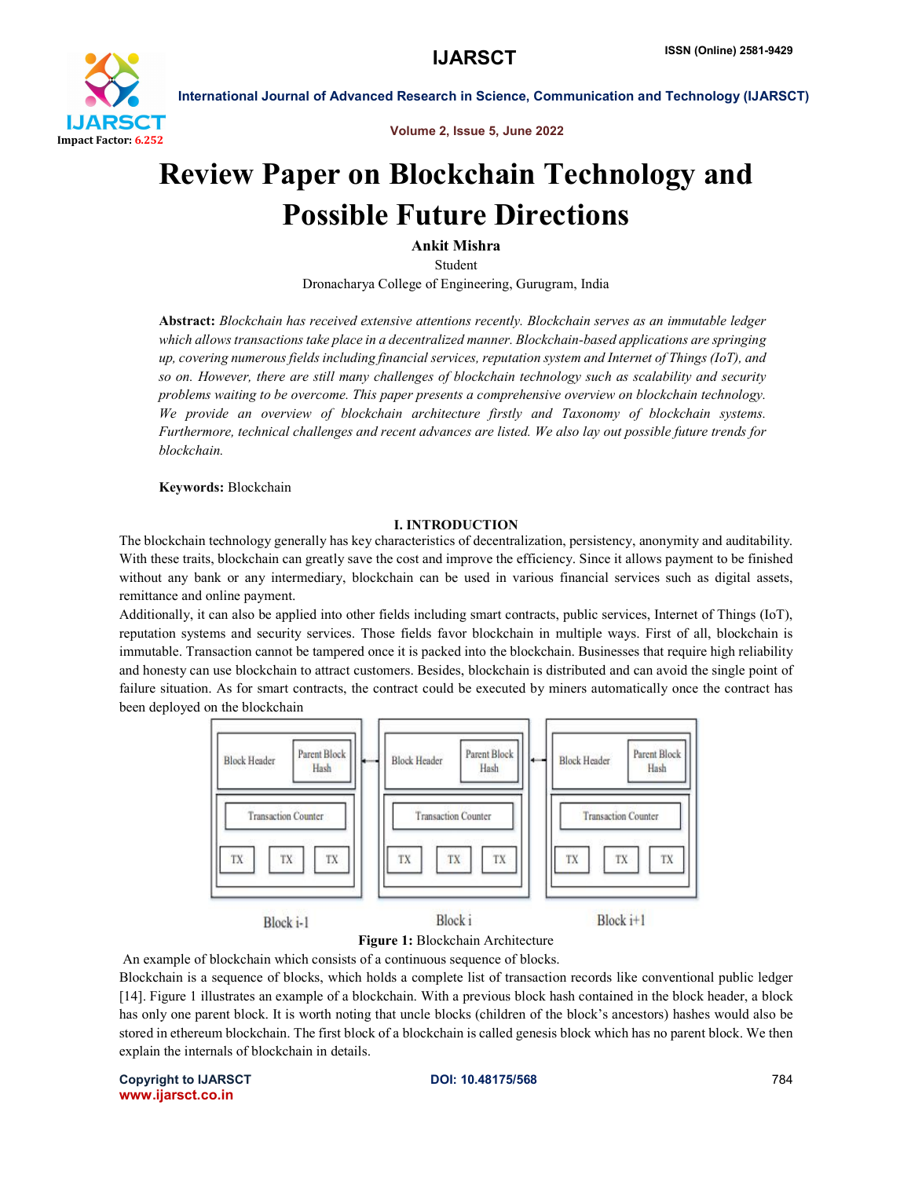

Volume 2, Issue 5, June 2022

# Review Paper on Blockchain Technology and Possible Future Directions

Ankit Mishra

Student

Dronacharya College of Engineering, Gurugram, India

Abstract: *Blockchain has received extensive attentions recently. Blockchain serves as an immutable ledger which allows transactions take place in a decentralized manner. Blockchain-based applications are springing up, covering numerous fields including financial services, reputation system and Internet of Things (IoT), and so on. However, there are still many challenges of blockchain technology such as scalability and security problems waiting to be overcome. This paper presents a comprehensive overview on blockchain technology. We provide an overview of blockchain architecture firstly and Taxonomy of blockchain systems. Furthermore, technical challenges and recent advances are listed. We also lay out possible future trends for blockchain.*

Keywords: Blockchain

### I. INTRODUCTION

The blockchain technology generally has key characteristics of decentralization, persistency, anonymity and auditability. With these traits, blockchain can greatly save the cost and improve the efficiency. Since it allows payment to be finished without any bank or any intermediary, blockchain can be used in various financial services such as digital assets, remittance and online payment.

Additionally, it can also be applied into other fields including smart contracts, public services, Internet of Things (IoT), reputation systems and security services. Those fields favor blockchain in multiple ways. First of all, blockchain is immutable. Transaction cannot be tampered once it is packed into the blockchain. Businesses that require high reliability and honesty can use blockchain to attract customers. Besides, blockchain is distributed and can avoid the single point of failure situation. As for smart contracts, the contract could be executed by miners automatically once the contract has been deployed on the blockchain



#### Figure 1: Blockchain Architecture

An example of blockchain which consists of a continuous sequence of blocks.

Blockchain is a sequence of blocks, which holds a complete list of transaction records like conventional public ledger [14]. Figure 1 illustrates an example of a blockchain. With a previous block hash contained in the block header, a block has only one parent block. It is worth noting that uncle blocks (children of the block's ancestors) hashes would also be stored in ethereum blockchain. The first block of a blockchain is called genesis block which has no parent block. We then explain the internals of blockchain in details.

Copyright to IJARSCT **DOI: 10.48175/568** 784 www.ijarsct.co.in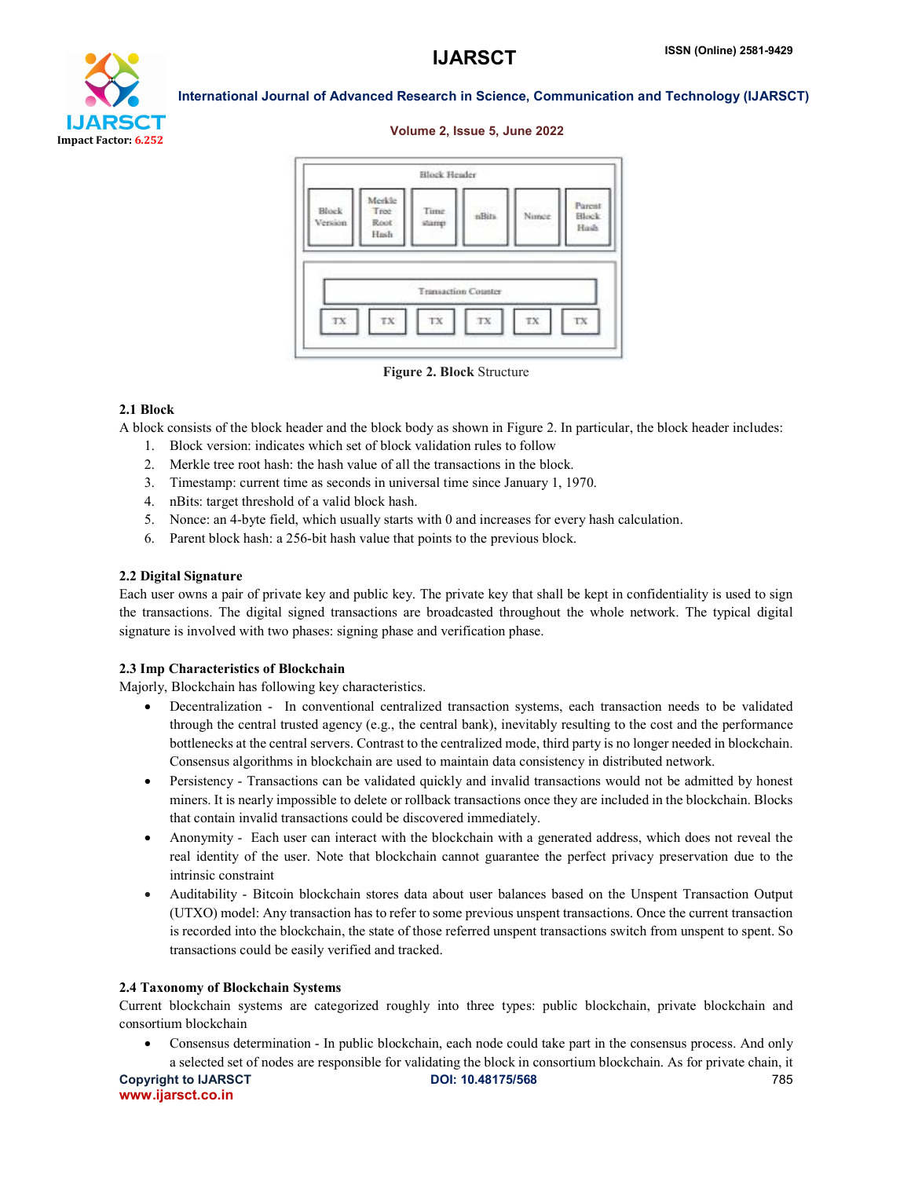

#### Volume 2, Issue 5, June 2022



Figure 2. Block Structure

#### 2.1 Block

A block consists of the block header and the block body as shown in Figure 2. In particular, the block header includes:

- 1. Block version: indicates which set of block validation rules to follow
- 2. Merkle tree root hash: the hash value of all the transactions in the block.
- 3. Timestamp: current time as seconds in universal time since January 1, 1970.
- 4. nBits: target threshold of a valid block hash.
- 5. Nonce: an 4-byte field, which usually starts with 0 and increases for every hash calculation.
- 6. Parent block hash: a 256-bit hash value that points to the previous block.

### 2.2 Digital Signature

Each user owns a pair of private key and public key. The private key that shall be kept in confidentiality is used to sign the transactions. The digital signed transactions are broadcasted throughout the whole network. The typical digital signature is involved with two phases: signing phase and verification phase.

#### 2.3 Imp Characteristics of Blockchain

Majorly, Blockchain has following key characteristics.

- Decentralization In conventional centralized transaction systems, each transaction needs to be validated through the central trusted agency (e.g., the central bank), inevitably resulting to the cost and the performance bottlenecks at the central servers. Contrast to the centralized mode, third party is no longer needed in blockchain. Consensus algorithms in blockchain are used to maintain data consistency in distributed network.
- Persistency Transactions can be validated quickly and invalid transactions would not be admitted by honest miners. It is nearly impossible to delete or rollback transactions once they are included in the blockchain. Blocks that contain invalid transactions could be discovered immediately.
- Anonymity Each user can interact with the blockchain with a generated address, which does not reveal the real identity of the user. Note that blockchain cannot guarantee the perfect privacy preservation due to the intrinsic constraint
- Auditability Bitcoin blockchain stores data about user balances based on the Unspent Transaction Output (UTXO) model: Any transaction has to refer to some previous unspent transactions. Once the current transaction is recorded into the blockchain, the state of those referred unspent transactions switch from unspent to spent. So transactions could be easily verified and tracked.

#### 2.4 Taxonomy of Blockchain Systems

Current blockchain systems are categorized roughly into three types: public blockchain, private blockchain and consortium blockchain

 Consensus determination - In public blockchain, each node could take part in the consensus process. And only a selected set of nodes are responsible for validating the block in consortium blockchain. As for private chain, it

Copyright to IJARSCT **DOI: 10.48175/568** 785 www.ijarsct.co.in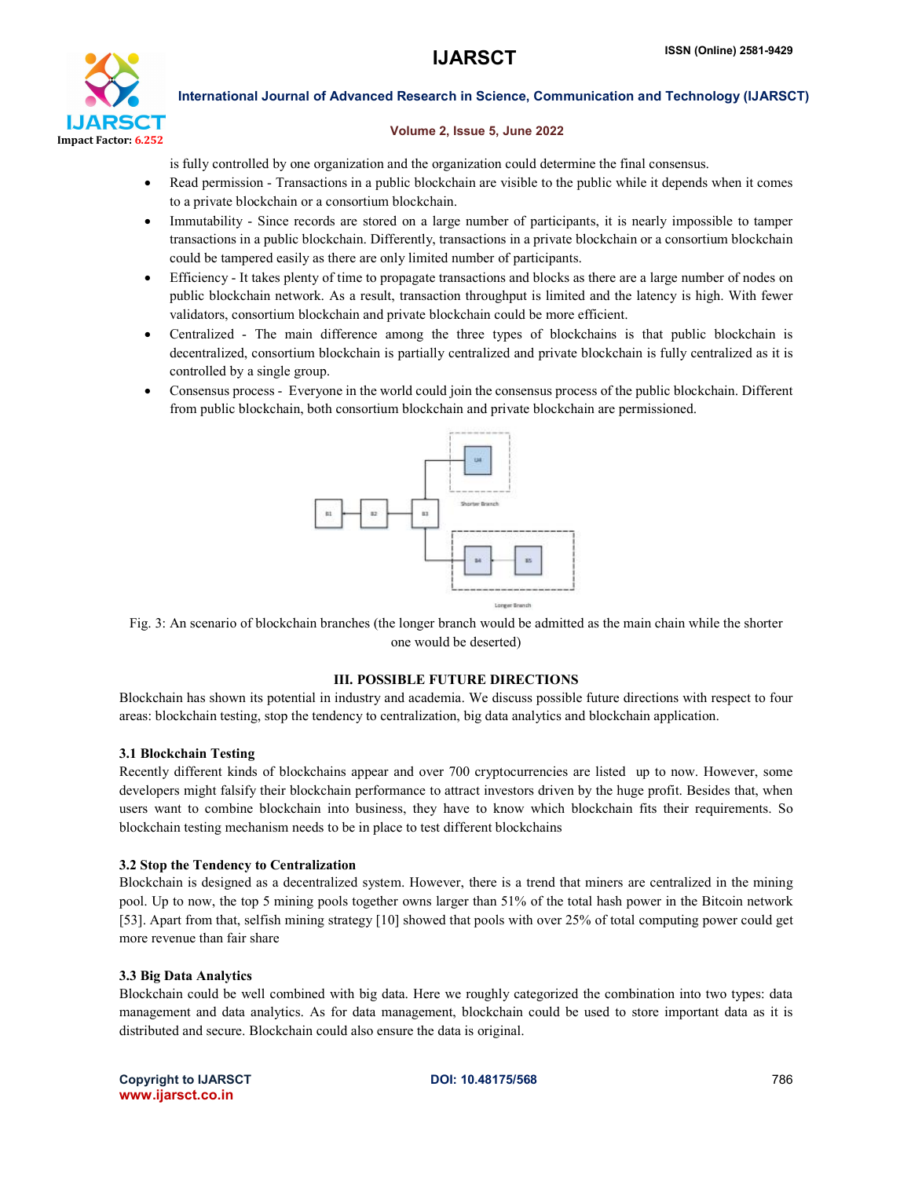

#### Volume 2, Issue 5, June 2022

is fully controlled by one organization and the organization could determine the final consensus.

- Read permission Transactions in a public blockchain are visible to the public while it depends when it comes to a private blockchain or a consortium blockchain.
- Immutability Since records are stored on a large number of participants, it is nearly impossible to tamper transactions in a public blockchain. Differently, transactions in a private blockchain or a consortium blockchain could be tampered easily as there are only limited number of participants.
- Efficiency It takes plenty of time to propagate transactions and blocks as there are a large number of nodes on public blockchain network. As a result, transaction throughput is limited and the latency is high. With fewer validators, consortium blockchain and private blockchain could be more efficient.
- Centralized The main difference among the three types of blockchains is that public blockchain is decentralized, consortium blockchain is partially centralized and private blockchain is fully centralized as it is controlled by a single group.
- Consensus process Everyone in the world could join the consensus process of the public blockchain. Different from public blockchain, both consortium blockchain and private blockchain are permissioned.



Fig. 3: An scenario of blockchain branches (the longer branch would be admitted as the main chain while the shorter one would be deserted)

#### III. POSSIBLE FUTURE DIRECTIONS

Blockchain has shown its potential in industry and academia. We discuss possible future directions with respect to four areas: blockchain testing, stop the tendency to centralization, big data analytics and blockchain application.

#### 3.1 Blockchain Testing

Recently different kinds of blockchains appear and over 700 cryptocurrencies are listed up to now. However, some developers might falsify their blockchain performance to attract investors driven by the huge profit. Besides that, when users want to combine blockchain into business, they have to know which blockchain fits their requirements. So blockchain testing mechanism needs to be in place to test different blockchains

#### 3.2 Stop the Tendency to Centralization

Blockchain is designed as a decentralized system. However, there is a trend that miners are centralized in the mining pool. Up to now, the top 5 mining pools together owns larger than 51% of the total hash power in the Bitcoin network [53]. Apart from that, selfish mining strategy [10] showed that pools with over 25% of total computing power could get more revenue than fair share

#### 3.3 Big Data Analytics

Blockchain could be well combined with big data. Here we roughly categorized the combination into two types: data management and data analytics. As for data management, blockchain could be used to store important data as it is distributed and secure. Blockchain could also ensure the data is original.